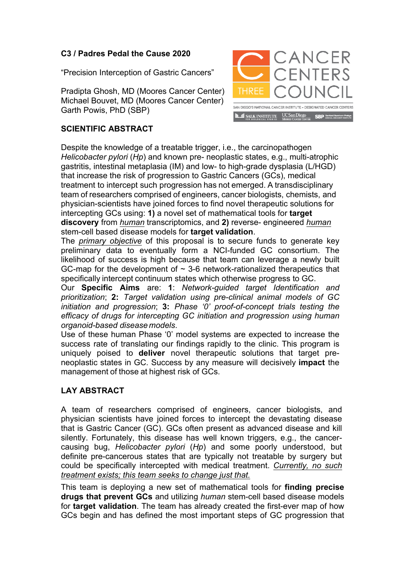## **C3 / Padres Pedal the Cause 2020**

"Precision Interception of Gastric Cancers"

Pradipta Ghosh, MD (Moores Cancer Center) Michael Bouvet, MD (Moores Cancer Center) Garth Powis, PhD (SBP)



## **SCIENTIFIC ABSTRACT**

Despite the knowledge of a treatable trigger, i.e., the carcinopathogen *Helicobacter pylori* (*Hp*) and known pre- neoplastic states, e.g., multi-atrophic gastritis, intestinal metaplasia (IM) and low- to high-grade dysplasia (L/HGD) that increase the risk of progression to Gastric Cancers (GCs), medical treatment to intercept such progression has not emerged. A transdisciplinary team of researchers comprised of engineers, cancer biologists, chemists, and physician-scientists have joined forces to find novel therapeutic solutions for intercepting GCs using: **1)** a novel set of mathematical tools for **target discovery** from *human* transcriptomics, and **2)** reverse- engineered *human* stem-cell based disease models for **target validation**.

The *primary objective* of this proposal is to secure funds to generate key preliminary data to eventually form a NCI-funded GC consortium. The likelihood of success is high because that team can leverage a newly built GC-map for the development of  $\sim$  3-6 network-rationalized therapeutics that specifically intercept continuum states which otherwise progress to GC.

Our **Specific Aims** are: **1**: *Network-guided target Identification and prioritization*; **2:** *Target validation using pre-clinical animal models of GC initiation and progression*; **3:** *Phase '0' proof-of-concept trials testing the efficacy of drugs for intercepting GC initiation and progression using human organoid-based disease models*.

Use of these human Phase '0' model systems are expected to increase the success rate of translating our findings rapidly to the clinic. This program is uniquely poised to **deliver** novel therapeutic solutions that target preneoplastic states in GC. Success by any measure will decisively **impact** the management of those at highest risk of GCs.

## **LAY ABSTRACT**

A team of researchers comprised of engineers, cancer biologists, and physician scientists have joined forces to intercept the devastating disease that is Gastric Cancer (GC). GCs often present as advanced disease and kill silently. Fortunately, this disease has well known triggers, e.g., the cancercausing bug, *Helicobacter pylori* (*Hp*) and some poorly understood, but definite pre-cancerous states that are typically not treatable by surgery but could be specifically intercepted with medical treatment. *Currently, no such treatment exists; this team seeks to change just that.*

This team is deploying a new set of mathematical tools for **finding precise drugs that prevent GCs** and utilizing *human* stem-cell based disease models for **target validation**. The team has already created the first-ever map of how GCs begin and has defined the most important steps of GC progression that